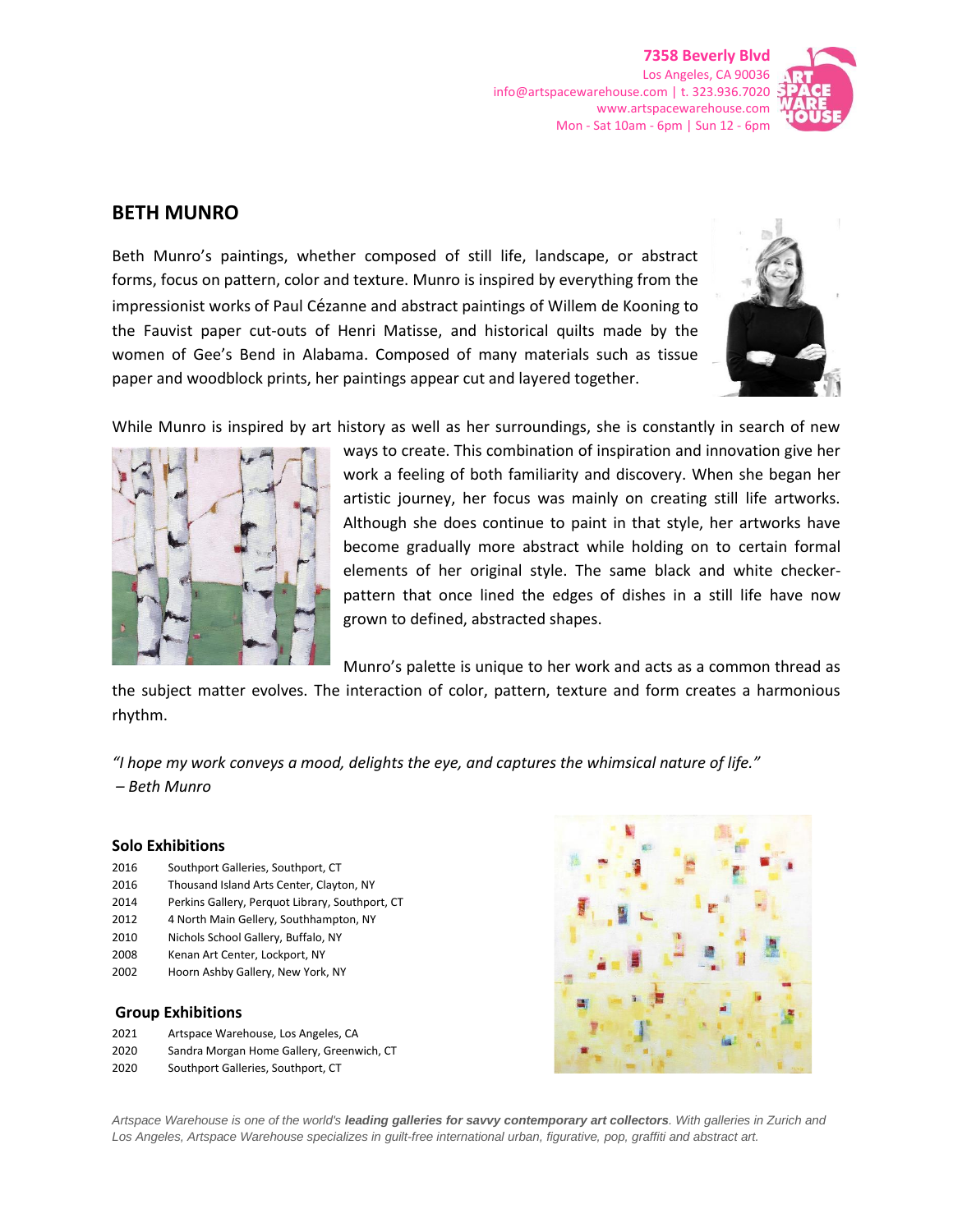**7358 Beverly Blvd** Los Angeles, CA 90036 info@artspacewarehouse.com | t. 323.936.7020 www.artspacewarehouse.com Mon - Sat 10am - 6pm | Sun 12 - 6pm



## **BETH MUNRO**

Beth Munro's paintings, whether composed of still life, landscape, or abstract forms, focus on pattern, color and texture. Munro is inspired by everything from the impressionist works of Paul Cézanne and abstract paintings of Willem de Kooning to the Fauvist paper cut-outs of Henri Matisse, and historical quilts made by the women of Gee's Bend in Alabama. Composed of many materials such as tissue paper and woodblock prints, her paintings appear cut and layered together.



While Munro is inspired by art history as well as her surroundings, she is constantly in search of new



ways to create. This combination of inspiration and innovation give her work a feeling of both familiarity and discovery. When she began her artistic journey, her focus was mainly on creating still life artworks. Although she does continue to paint in that style, her artworks have become gradually more abstract while holding on to certain formal elements of her original style. The same black and white checkerpattern that once lined the edges of dishes in a still life have now grown to defined, abstracted shapes.

Munro's palette is unique to her work and acts as a common thread as

the subject matter evolves. The interaction of color, pattern, texture and form creates a harmonious rhythm.

*"I hope my work conveys a mood, delights the eye, and captures the whimsical nature of life." – Beth Munro*

## **Solo Exhibitions**

- 2016 Southport Galleries, Southport, CT
- 2016 Thousand Island Arts Center, Clayton, NY
- 2014 Perkins Gallery, Perquot Library, Southport, CT
- 2012 4 North Main Gellery, Southhampton, NY
- 2010 Nichols School Gallery, Buffalo, NY
- 2008 Kenan Art Center, Lockport, NY
- 2002 Hoorn Ashby Gallery, New York, NY

## **Group Exhibitions**

- 2021 Artspace Warehouse, Los Angeles, CA
- 2020 Sandra Morgan Home Gallery, Greenwich, CT
- 2020 Southport Galleries, Southport, CT



*Artspace Warehouse is one of the world's leading galleries for savvy contemporary art collectors. With galleries in Zurich and Los Angeles, Artspace Warehouse specializes in guilt-free international urban, figurative, pop, graffiti and abstract art.*